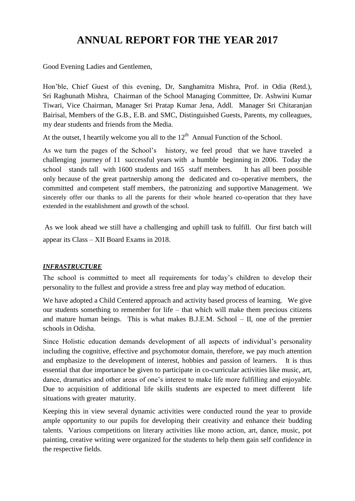# **ANNUAL REPORT FOR THE YEAR 2017**

Good Evening Ladies and Gentlemen,

Hon'ble, Chief Guest of this evening, Dr, Sanghamitra Mishra, Prof. in Odia (Retd.), Sri Raghunath Mishra, Chairman of the School Managing Committee, Dr. Ashwini Kumar Tiwari, Vice Chairman, Manager Sri Pratap Kumar Jena, Addl. Manager Sri Chitaranjan Bairisal, Members of the G.B., E.B. and SMC, Distinguished Guests, Parents, my colleagues, my dear students and friends from the Media.

At the outset, I heartily welcome you all to the  $12<sup>th</sup>$  Annual Function of the School.

As we turn the pages of the School's history, we feel proud that we have traveled a challenging journey of 11 successful years with a humble beginning in 2006. Today the school stands tall with 1600 students and 165 staff members. It has all been possible only because of the great partnership among the dedicated and co-operative members, the committed and competent staff members, the patronizing and supportive Management. We sincerely offer our thanks to all the parents for their whole hearted co-operation that they have extended in the establishment and growth of the school.

As we look ahead we still have a challenging and uphill task to fulfill. Our first batch will appear its Class – XII Board Exams in 2018.

## *INFRASTRUCTURE*

The school is committed to meet all requirements for today's children to develop their personality to the fullest and provide a stress free and play way method of education.

We have adopted a Child Centered approach and activity based process of learning. We give our students something to remember for life – that which will make them precious citizens and mature human beings. This is what makes  $B.J.E.M.$  School – II, one of the premier schools in Odisha.

Since Holistic education demands development of all aspects of individual's personality including the cognitive, effective and psychomotor domain, therefore, we pay much attention and emphasize to the development of interest, hobbies and passion of learners. It is thus essential that due importance be given to participate in co-curricular activities like music, art, dance, dramatics and other areas of one's interest to make life more fulfilling and enjoyable. Due to acquisition of additional life skills students are expected to meet different life situations with greater maturity.

Keeping this in view several dynamic activities were conducted round the year to provide ample opportunity to our pupils for developing their creativity and enhance their budding talents. Various competitions on literary activities like mono action, art, dance, music, pot painting, creative writing were organized for the students to help them gain self confidence in the respective fields.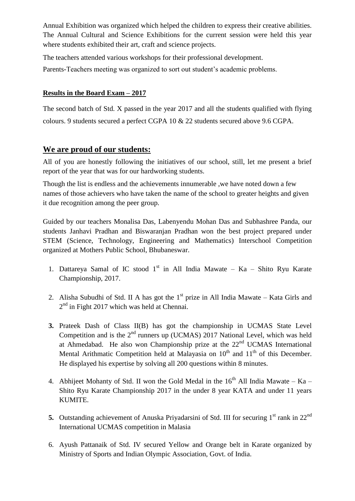Annual Exhibition was organized which helped the children to express their creative abilities. The Annual Cultural and Science Exhibitions for the current session were held this year where students exhibited their art, craft and science projects.

The teachers attended various workshops for their professional development.

Parents-Teachers meeting was organized to sort out student's academic problems.

## **Results in the Board Exam – 2017**

The second batch of Std. X passed in the year 2017 and all the students qualified with flying colours. 9 students secured a perfect CGPA 10 & 22 students secured above 9.6 CGPA.

# **We are proud of our students:**

All of you are honestly following the initiatives of our school, still, let me present a brief report of the year that was for our hardworking students.

Though the list is endless and the achievements innumerable ,we have noted down a few names of those achievers who have taken the name of the school to greater heights and given it due recognition among the peer group.

Guided by our teachers Monalisa Das, Labenyendu Mohan Das and Subhashree Panda, our students Janhavi Pradhan and Biswaranjan Pradhan won the best project prepared under STEM (Science, Technology, Engineering and Mathematics) Interschool Competition organized at Mothers Public School, Bhubaneswar.

- 1. Dattareya Samal of IC stood  $1<sup>st</sup>$  in All India Mawate Ka Shito Ryu Karate Championship, 2017.
- 2. Alisha Subudhi of Std. II A has got the  $1<sup>st</sup>$  prize in All India Mawate Kata Girls and  $2<sup>nd</sup>$  in Fight 2017 which was held at Chennai.
- **3.** Prateek Dash of Class II(B) has got the championship in UCMAS State Level Competition and is the  $2<sup>nd</sup>$  runners up (UCMAS) 2017 National Level, which was held at Ahmedabad. He also won Championship prize at the 22<sup>nd</sup> UCMAS International Mental Arithmatic Competition held at Malayasia on  $10<sup>th</sup>$  and  $11<sup>th</sup>$  of this December. He displayed his expertise by solving all 200 questions within 8 minutes.
- 4. Abhijeet Mohanty of Std. II won the Gold Medal in the  $16<sup>th</sup>$  All India Mawate Ka Shito Ryu Karate Championship 2017 in the under 8 year KATA and under 11 years KUMITE.
- **5.** Outstanding achievement of Anuska Priyadarsini of Std. III for securing 1<sup>st</sup> rank in 22<sup>nd</sup> International UCMAS competition in Malasia
- 6. Ayush Pattanaik of Std. IV secured Yellow and Orange belt in Karate organized by Ministry of Sports and Indian Olympic Association, Govt. of India.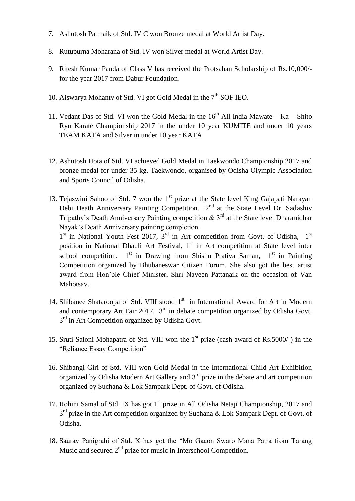- 7. Ashutosh Pattnaik of Std. IV C won Bronze medal at World Artist Day.
- 8. Rutupurna Moharana of Std. IV won Silver medal at World Artist Day.
- 9. Ritesh Kumar Panda of Class V has received the Protsahan Scholarship of Rs.10,000/ for the year 2017 from Dabur Foundation.
- 10. Aiswarya Mohanty of Std. VI got Gold Medal in the  $7<sup>th</sup>$  SOF IEO.
- 11. Vedant Das of Std. VI won the Gold Medal in the  $16<sup>th</sup>$  All India Mawate Ka Shito Ryu Karate Championship 2017 in the under 10 year KUMITE and under 10 years TEAM KATA and Silver in under 10 year KATA
- 12. Ashutosh Hota of Std. VI achieved Gold Medal in Taekwondo Championship 2017 and bronze medal for under 35 kg. Taekwondo, organised by Odisha Olympic Association and Sports Council of Odisha.
- 13. Tejaswini Sahoo of Std. 7 won the  $1<sup>st</sup>$  prize at the State level King Gajapati Narayan Debi Death Anniversary Painting Competition. 2<sup>nd</sup> at the State Level Dr. Sadashiv Tripathy's Death Anniversary Painting competition  $\&$  3<sup>rd</sup> at the State level Dharanidhar Nayak's Death Anniversary painting completion.

1<sup>st</sup> in National Youth Fest 2017, 3<sup>rd</sup> in Art competition from Govt. of Odisha, 1<sup>st</sup> position in National Dhauli Art Festival,  $1<sup>st</sup>$  in Art competition at State level inter school competition.  $1<sup>st</sup>$  in Drawing from Shishu Prativa Saman,  $1<sup>st</sup>$  in Painting Competition organized by Bhubaneswar Citizen Forum. She also got the best artist award from Hon'ble Chief Minister, Shri Naveen Pattanaik on the occasion of Van Mahotsav.

- 14. Shibanee Shataroopa of Std. VIII stood 1<sup>st</sup> in International Award for Art in Modern and contemporary Art Fair 2017. 3<sup>rd</sup> in debate competition organized by Odisha Govt. 3<sup>rd</sup> in Art Competition organized by Odisha Govt.
- 15. Sruti Saloni Mohapatra of Std. VIII won the 1<sup>st</sup> prize (cash award of Rs.5000/-) in the "Reliance Essay Competition"
- 16. Shibangi Giri of Std. VIII won Gold Medal in the International Child Art Exhibition organized by Odisha Modern Art Gallery and  $3<sup>rd</sup>$  prize in the debate and art competition organized by Suchana & Lok Sampark Dept. of Govt. of Odisha.
- 17. Rohini Samal of Std. IX has got  $1<sup>st</sup>$  prize in All Odisha Netaji Championship, 2017 and  $3<sup>rd</sup>$  prize in the Art competition organized by Suchana & Lok Sampark Dept. of Govt. of Odisha.
- 18. Saurav Panigrahi of Std. X has got the "Mo Gaaon Swaro Mana Patra from Tarang Music and secured  $2<sup>nd</sup>$  prize for music in Interschool Competition.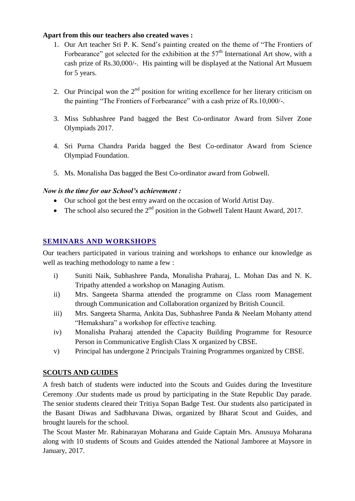## **Apart from this our teachers also created waves :**

- 1. Our Art teacher Sri P. K. Send's painting created on the theme of "The Frontiers of Forbearance" got selected for the exhibition at the  $57<sup>th</sup>$  International Art show, with a cash prize of Rs.30,000/-. His painting will be displayed at the National Art Musuem for 5 years.
- 2. Our Principal won the  $2<sup>nd</sup>$  position for writing excellence for her literary criticism on the painting "The Frontiers of Forbearance" with a cash prize of Rs.10,000/-.
- 3. Miss Subhashree Pand bagged the Best Co-ordinator Award from Silver Zone Olympiads 2017.
- 4. Sri Purna Chandra Parida bagged the Best Co-ordinator Award from Science Olympiad Foundation.
- 5. Ms. Monalisha Das bagged the Best Co-ordinator award from Gobwell.

## *Now is the time for our School's achievement :*

- Our school got the best entry award on the occasion of World Artist Day.
- The school also secured the  $2<sup>nd</sup>$  position in the Gobwell Talent Haunt Award, 2017.

## **SEMINARS AND WORKSHOPS**

Our teachers participated in various training and workshops to enhance our knowledge as well as teaching methodology to name a few :

- i) Suniti Naik, Subhashree Panda, Monalisha Praharaj, L. Mohan Das and N. K. Tripathy attended a workshop on Managing Autism.
- ii) Mrs. Sangeeta Sharma attended the programme on Class room Management through Communication and Collaboration organized by British Council.
- iii) Mrs. Sangeeta Sharma, Ankita Das, Subhashree Panda & Neelam Mohanty attend "Hemakshara" a workshop for effective teaching.
- iv) Monalisha Praharaj attended the Capacity Building Programme for Resource Person in Communicative English Class X organized by CBSE.
- v) Principal has undergone 2 Principals Training Programmes organized by CBSE.

## **SCOUTS AND GUIDES**

A fresh batch of students were inducted into the Scouts and Guides during the Investiture Ceremony .Our students made us proud by participating in the State Republic Day parade. The senior students cleared their Tritiya Sopan Badge Test. Our students also participated in the Basant Diwas and Sadbhavana Diwas, organized by Bharat Scout and Guides, and brought laurels for the school.

The Scout Master Mr. Rabinarayan Moharana and Guide Captain Mrs. Anusuya Moharana along with 10 students of Scouts and Guides attended the National Jamboree at Maysore in January, 2017.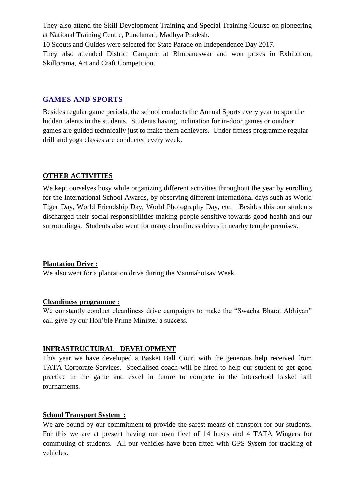They also attend the Skill Development Training and Special Training Course on pioneering at National Training Centre, Punchmari, Madhya Pradesh.

10 Scouts and Guides were selected for State Parade on Independence Day 2017. They also attended District Campore at Bhubaneswar and won prizes in Exhibition, Skillorama, Art and Craft Competition.

## **GAMES AND SPORTS**

Besides regular game periods, the school conducts the Annual Sports every year to spot the hidden talents in the students. Students having inclination for in-door games or outdoor games are guided technically just to make them achievers. Under fitness programme regular drill and yoga classes are conducted every week.

## **OTHER ACTIVITIES**

We kept ourselves busy while organizing different activities throughout the year by enrolling for the International School Awards, by observing different International days such as World Tiger Day, World Friendship Day, World Photography Day, etc. Besides this our students discharged their social responsibilities making people sensitive towards good health and our surroundings. Students also went for many cleanliness drives in nearby temple premises.

## **Plantation Drive :**

We also went for a plantation drive during the Vanmahotsav Week.

#### **Cleanliness programme :**

We constantly conduct cleanliness drive campaigns to make the "Swacha Bharat Abhiyan" call give by our Hon'ble Prime Minister a success.

## **INFRASTRUCTURAL DEVELOPMENT**

This year we have developed a Basket Ball Court with the generous help received from TATA Corporate Services. Specialised coach will be hired to help our student to get good practice in the game and excel in future to compete in the interschool basket ball tournaments.

## **School Transport System :**

We are bound by our commitment to provide the safest means of transport for our students. For this we are at present having our own fleet of 14 buses and 4 TATA Wingers for commuting of students. All our vehicles have been fitted with GPS Sysem for tracking of vehicles.